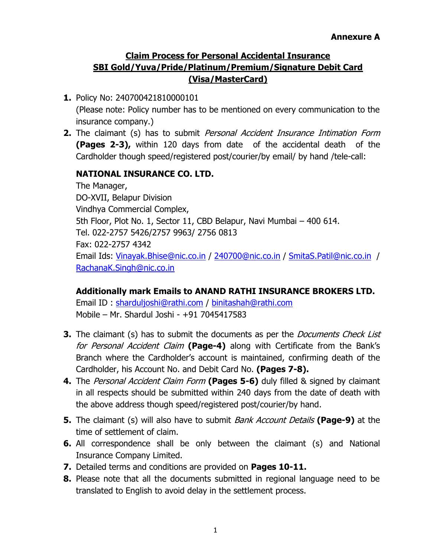### **Claim Process for Personal Accidental Insurance SBI Gold/Yuva/Pride/Platinum/Premium/Signature Debit Card (Visa/MasterCard)**

- **1.** Policy No: 240700421810000101 (Please note: Policy number has to be mentioned on every communication to the insurance company.)
- **2.** The claimant (s) has to submit Personal Accident Insurance Intimation Form **(Pages 2-3),** within 120 days from date of the accidental death of the Cardholder though speed/registered post/courier/by email/ by hand /tele-call:

### **NATIONAL INSURANCE CO. LTD.**

The Manager, DO-XVII, Belapur Division Vindhya Commercial Complex, 5th Floor, Plot No. 1, Sector 11, CBD Belapur, Navi Mumbai – 400 614. Tel. 022-2757 5426/2757 9963/ 2756 0813 Fax: 022-2757 4342 Email Ids: [Vinayak.Bhise@nic.co.in](mailto:Vinayak.Bhise@nic.co.in) / [240700@nic.co.in](mailto:240700@nic.co.in) / [SmitaS.Patil@nic.co.in](mailto:SmitaS.Patil@nic.co.in) / [RachanaK.Singh@nic.co.in](mailto:RachanaK.Singh@nic.co.in)

### **Additionally mark Emails to ANAND RATHI INSURANCE BROKERS LTD.**

Email ID : [sharduljoshi@rathi.com](mailto:sharduljoshi@rathi.com) / [binitashah@rathi.com](mailto:binitashah@rathi.com) Mobile – Mr. Shardul Joshi - +91 7045417583

- **3.** The claimant (s) has to submit the documents as per the *Documents Check List* for Personal Accident Claim **(Page-4)** along with Certificate from the Bank's Branch where the Cardholder's account is maintained, confirming death of the Cardholder, his Account No. and Debit Card No. **(Pages 7-8).**
- **4.** The Personal Accident Claim Form **(Pages 5-6)** duly filled & signed by claimant in all respects should be submitted within 240 days from the date of death with the above address though speed/registered post/courier/by hand.
- **5.** The claimant (s) will also have to submit *Bank Account Details* (Page-9) at the time of settlement of claim.
- **6.** All correspondence shall be only between the claimant (s) and National Insurance Company Limited.
- **7.** Detailed terms and conditions are provided on **Pages 10-11.**
- **8.** Please note that all the documents submitted in regional language need to be translated to English to avoid delay in the settlement process.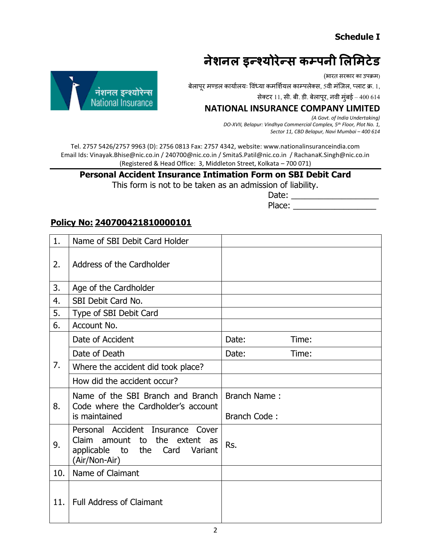### **Schedule I**

## **नेशनल इन्श्योरेन्शस कम्पनी लललिटेड**

(भारत सरकार का उपक्रम)

ं । बेलापूर मण्डल कार्यालयः विंध्या कमर्शियल काम्पलेक्स, 5वी मंजिल, प्लाट क्र. 1,<br>निशनल इन्श्योरेन्स

सेक्टर 11, सी. बी. डी. बेलापूर, नवी मुंबई – 400 614

## **National Insurance**



Tel. 2757 5426/2757 9963 (D): 2756 0813 Fax: 2757 4342, website: www.nationalinsuranceindia.com Email Ids: Vinayak.Bhise@nic.co.in / 240700@nic.co.in / SmitaS.Patil@nic.co.in / RachanaK.Singh@nic.co.in (Registered & Head Office: 3, Middleton Street, Kolkata – 700 071)

### **Personal Accident Insurance Intimation Form on SBI Debit Card**

This form is not to be taken as an admission of liability.

 Date: \_\_\_\_\_\_\_\_\_\_\_\_\_\_\_\_\_\_\_ Place: \_\_\_\_\_\_\_\_\_\_\_\_\_\_\_\_\_\_

#### **Policy No: 240700421810000101**

| 1.  | Name of SBI Debit Card Holder                                                                                                              |                     |       |
|-----|--------------------------------------------------------------------------------------------------------------------------------------------|---------------------|-------|
| 2.  | Address of the Cardholder                                                                                                                  |                     |       |
| 3.  | Age of the Cardholder                                                                                                                      |                     |       |
| 4.  | SBI Debit Card No.                                                                                                                         |                     |       |
| 5.  | Type of SBI Debit Card                                                                                                                     |                     |       |
| 6.  | Account No.                                                                                                                                |                     |       |
|     | Date of Accident                                                                                                                           | Date:               | Time: |
|     | Date of Death                                                                                                                              | Date:               | Time: |
| 7.  | Where the accident did took place?                                                                                                         |                     |       |
|     | How did the accident occur?                                                                                                                |                     |       |
| 8.  | Name of the SBI Branch and Branch<br>Code where the Cardholder's account                                                                   | <b>Branch Name:</b> |       |
|     | is maintained                                                                                                                              | Branch Code:        |       |
| 9.  | Personal Accident<br>Insurance<br>Cover<br>to the extent<br>Claim amount<br>as<br>applicable<br>to the<br>Card<br>Variant<br>(Air/Non-Air) | Rs.                 |       |
| 10. | Name of Claimant                                                                                                                           |                     |       |
| 11. | <b>Full Address of Claimant</b>                                                                                                            |                     |       |

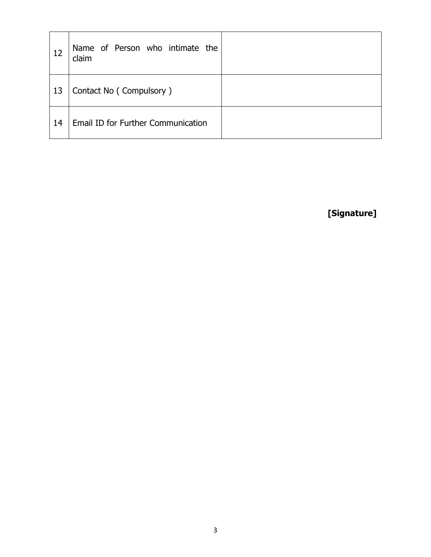| 12 | Name of Person who intimate the<br>claim |  |
|----|------------------------------------------|--|
| 13 | Contact No (Compulsory)                  |  |
| 14 | Email ID for Further Communication       |  |

**[Signature]**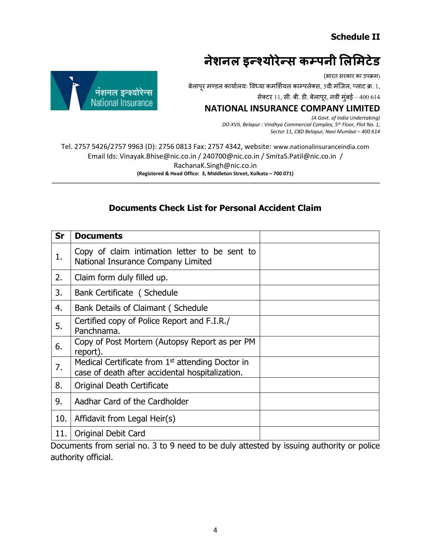#### **Schedule II**

## **नेशनल इन्श्योरेन्शस कम्पनी लललिटेड**

(भारत सरकार का उपक्रम)

ं पुरुष कार्यालयः विध्या कमर्शियल काम्पलेक्स, 5वी मंजिल, प्लाट क्र. 1, **निशनल इन्श्योरेन्स** 

सेक्टर 11, सी. बी. डी. बेलापूर, नवी मुंबई – 400 614

# **National Insurance**

 *(A Govt. of India Undertaking) DO-XVII, Belapur : Vindhya Commercial Complex, 5th Floor, Plot No. 1, Sector 11, CBD Belapur, Navi Mumbai – 400 614*

Tel. 2757 5426/2757 9963 (D): 2756 0813 Fax: 2757 4342, website: www.nationalinsuranceindia.com Email Ids: Vinayak.Bhise@nic.co.in / 240700@nic.co.in / SmitaS.Patil@nic.co.in / RachanaK.Singh@nic.co.in **(Registered & Head Office: 3, Middleton Street, Kolkata – 700 071) \_\_\_\_\_\_\_\_\_\_\_\_\_\_\_\_\_\_\_\_\_\_\_\_\_\_\_\_\_\_\_\_\_\_\_\_\_\_\_\_\_\_\_\_\_\_\_\_\_\_\_\_\_\_\_\_\_\_\_\_\_\_\_\_\_\_\_\_\_\_\_\_\_\_\_\_\_\_\_\_\_\_\_\_\_\_\_\_\_\_\_\_\_\_\_\_\_\_\_\_\_\_\_\_\_\_\_\_\_\_\_\_\_\_\_\_\_**

#### **Documents Check List for Personal Accident Claim**

| Sr  | <b>Documents</b>                                                                                      |  |
|-----|-------------------------------------------------------------------------------------------------------|--|
| 1.  | Copy of claim intimation letter to be sent to<br>National Insurance Company Limited                   |  |
| 2.  | Claim form duly filled up.                                                                            |  |
| 3.  | Bank Certificate (Schedule                                                                            |  |
| 4.  | <b>Bank Details of Claimant (Schedule</b>                                                             |  |
| 5.  | Certified copy of Police Report and F.I.R./<br>Panchnama.                                             |  |
| 6.  | Copy of Post Mortem (Autopsy Report as per PM<br>report).                                             |  |
| 7.  | Medical Certificate from $1st$ attending Doctor in<br>case of death after accidental hospitalization. |  |
| 8.  | Original Death Certificate                                                                            |  |
| 9.  | Aadhar Card of the Cardholder                                                                         |  |
| 10. | Affidavit from Legal Heir(s)                                                                          |  |
| 11. | <b>Original Debit Card</b>                                                                            |  |

Documents from serial no. 3 to 9 need to be duly attested by issuing authority or police authority official.

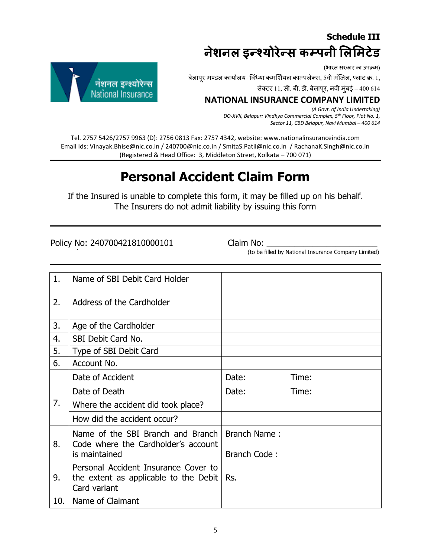### **Schedule III नेशनल इन्श्योरेन्शस कम्पनी लललिटेड**

(भारत सरकार का उपक्रम)

्र्णिति काम्पलेक्स, ऽवी मंजिल, प्लाट क्र. 1, वोशनल - इन्श्योरेन्स - बेलापूर मण्डल कार्यालयः विध्या कमर्शियल काम्पलेक्स, 5वी मंजिल, प्लाट क्र. 1, अपे ती द्या काम्पलेक्स, 5वी मंजिल, प्लाट क्र. 1, अपे ती द्या काम्पलेक्स, 5व

सेक्टर 11, सी. बी. डी. बेलापूर, नवी मुंबई – 400 614

### **National Insurance**

 *(A Govt. of India Undertaking) DO-XVII, Belapur: Vindhya Commercial Complex, 5th Floor, Plot No. 1, Sector 11, CBD Belapur, Navi Mumbai – 400 614*

Tel. 2757 5426/2757 9963 (D): 2756 0813 Fax: 2757 4342, website: www.nationalinsuranceindia.com Email Ids: Vinayak.Bhise@nic.co.in / 240700@nic.co.in / SmitaS.Patil@nic.co.in / RachanaK.Singh@nic.co.in (Registered & Head Office: 3, Middleton Street, Kolkata – 700 071)

### **Personal Accident Claim Form**

If the Insured is unable to complete this form, it may be filled up on his behalf. The Insurers do not admit liability by issuing this form

Policy No: 240700421810000101 Claim No:

(to be filled by National Insurance Company Limited)

| 1.  | Name of SBI Debit Card Holder                                                                 |                     |       |
|-----|-----------------------------------------------------------------------------------------------|---------------------|-------|
| 2.  | Address of the Cardholder                                                                     |                     |       |
| 3.  | Age of the Cardholder                                                                         |                     |       |
| 4.  | SBI Debit Card No.                                                                            |                     |       |
| 5.  | Type of SBI Debit Card                                                                        |                     |       |
| 6.  | Account No.                                                                                   |                     |       |
|     | Date of Accident                                                                              | Date:               | Time: |
|     | Date of Death                                                                                 | Date:               | Time: |
| 7.  | Where the accident did took place?                                                            |                     |       |
|     | How did the accident occur?                                                                   |                     |       |
| 8.  | Name of the SBI Branch and Branch<br>Code where the Cardholder's account                      | Branch Name:        |       |
|     | is maintained                                                                                 | <b>Branch Code:</b> |       |
| 9.  | Personal Accident Insurance Cover to<br>the extent as applicable to the Debit<br>Card variant | Rs.                 |       |
| 10. | Name of Claimant                                                                              |                     |       |

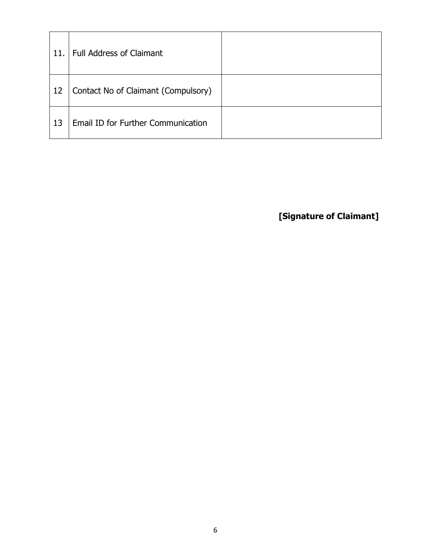| 11. | <b>Full Address of Claimant</b>     |  |
|-----|-------------------------------------|--|
| 12  | Contact No of Claimant (Compulsory) |  |
| 13  | Email ID for Further Communication  |  |

**[Signature of Claimant]**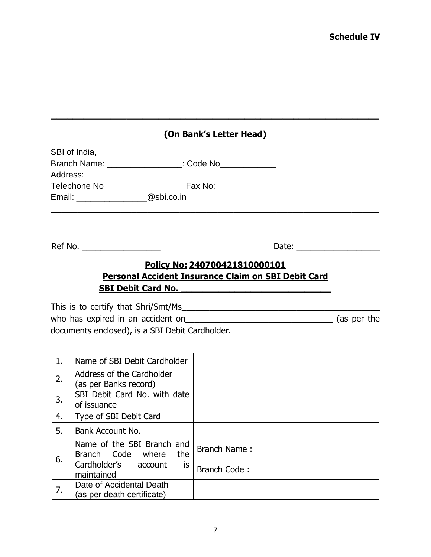**\_\_\_\_\_\_\_\_\_\_\_\_\_\_\_\_\_\_\_\_\_\_\_\_\_\_\_\_\_\_\_\_\_\_\_\_\_\_\_\_\_\_\_\_\_\_\_\_\_\_\_\_\_\_\_\_\_\_\_\_\_**

|                                            | SBI of India,                                          |                                                                                                                                             |  |
|--------------------------------------------|--------------------------------------------------------|---------------------------------------------------------------------------------------------------------------------------------------------|--|
|                                            | Branch Name: __________________: Code No____________   |                                                                                                                                             |  |
|                                            | Address: _________________________                     |                                                                                                                                             |  |
|                                            |                                                        |                                                                                                                                             |  |
| Email: <u>__________________@sbi.co.in</u> |                                                        |                                                                                                                                             |  |
|                                            |                                                        |                                                                                                                                             |  |
|                                            | Ref No.                                                |                                                                                                                                             |  |
|                                            |                                                        | Policy No: 240700421810000101<br><b>Personal Accident Insurance Claim on SBI Debit Card</b><br><b>SBI Debit Card No. SBI Debit Card No.</b> |  |
|                                            | This is to certify that Shri/Smt/Ms                    |                                                                                                                                             |  |
|                                            |                                                        |                                                                                                                                             |  |
|                                            | documents enclosed), is a SBI Debit Cardholder.        |                                                                                                                                             |  |
|                                            |                                                        |                                                                                                                                             |  |
| 1.                                         | Name of SBI Debit Cardholder                           |                                                                                                                                             |  |
| 2.                                         | Address of the Cardholder<br>(as per Banks record)     |                                                                                                                                             |  |
| 3.                                         | SBI Debit Card No. with date<br>of issuance            |                                                                                                                                             |  |
| 4.                                         | Type of SBI Debit Card                                 |                                                                                                                                             |  |
| 5.                                         | Bank Account No.                                       |                                                                                                                                             |  |
| 6.                                         | Name of the SBI Branch and<br>Branch Code where<br>the | <b>Branch Name:</b>                                                                                                                         |  |
|                                            | Cardholder's account<br>is.<br>maintained              | Branch Code:                                                                                                                                |  |
| 7.                                         | Date of Accidental Death<br>(ac nar daath cartificata) |                                                                                                                                             |  |

(as per death certificate)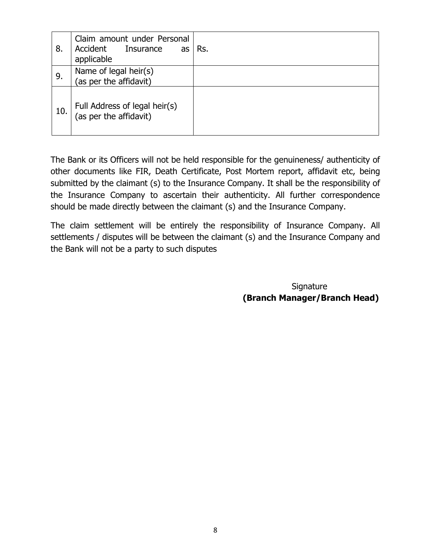| 8.  | Claim amount under Personal<br>Accident<br>Insurance<br>as<br>applicable | Rs. |
|-----|--------------------------------------------------------------------------|-----|
| 9.  | Name of legal heir(s)<br>(as per the affidavit)                          |     |
| 10. | Full Address of legal heir(s)<br>(as per the affidavit)                  |     |

The Bank or its Officers will not be held responsible for the genuineness/ authenticity of other documents like FIR, Death Certificate, Post Mortem report, affidavit etc, being submitted by the claimant (s) to the Insurance Company. It shall be the responsibility of the Insurance Company to ascertain their authenticity. All further correspondence should be made directly between the claimant (s) and the Insurance Company.

The claim settlement will be entirely the responsibility of Insurance Company. All settlements / disputes will be between the claimant (s) and the Insurance Company and the Bank will not be a party to such disputes

> **Signature (Branch Manager/Branch Head)**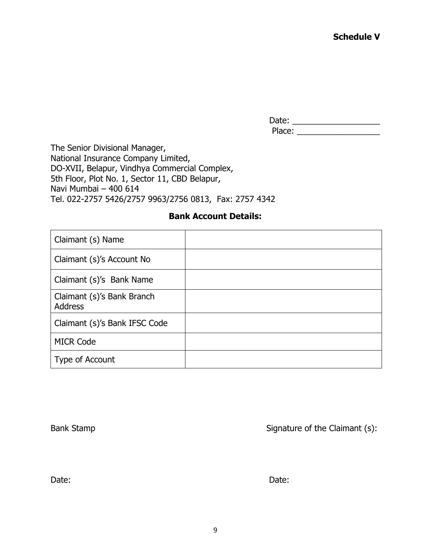Date: \_\_\_\_\_\_\_\_\_\_\_\_\_\_\_\_\_\_\_ Place: \_\_\_\_\_\_\_\_\_\_\_\_\_\_\_\_\_\_

The Senior Divisional Manager, National Insurance Company Limited, DO-XVII, Belapur, Vindhya Commercial Complex, 5th Floor, Plot No. 1, Sector 11, CBD Belapur, Navi Mumbai – 400 614 Tel. 022-2757 5426/2757 9963/2756 0813, Fax: 2757 4342

#### **Bank Account Details:**

| Claimant (s) Name                            |  |
|----------------------------------------------|--|
| Claimant (s)'s Account No                    |  |
| Claimant (s)'s Bank Name                     |  |
| Claimant (s)'s Bank Branch<br><b>Address</b> |  |
| Claimant (s)'s Bank IFSC Code                |  |
| <b>MICR Code</b>                             |  |
| Type of Account                              |  |

Bank Stamp Signature of the Claimant (s):

Date: **Date:** Date: **Date:** Date: **Date: Date: Date: Date: Date: Date: Date: Date: Date: Date: Date: Date: Date: Date: Date: Date: Date: Date: Date: Date: Date: Date: Date: Dat**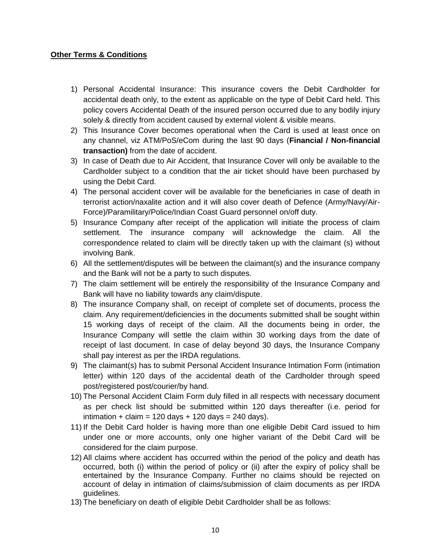#### **Other Terms & Conditions**

- 1) Personal Accidental Insurance: This insurance covers the Debit Cardholder for accidental death only, to the extent as applicable on the type of Debit Card held. This policy covers Accidental Death of the insured person occurred due to any bodily injury solely & directly from accident caused by external violent & visible means.
- 2) This Insurance Cover becomes operational when the Card is used at least once on any channel, viz ATM/PoS/eCom during the last 90 days (**Financial / Non-financial transaction)** from the date of accident.
- 3) In case of Death due to Air Accident, that Insurance Cover will only be available to the Cardholder subject to a condition that the air ticket should have been purchased by using the Debit Card.
- 4) The personal accident cover will be available for the beneficiaries in case of death in terrorist action/naxalite action and it will also cover death of Defence (Army/Navy/Air-Force)/Paramilitary/Police/Indian Coast Guard personnel on/off duty.
- 5) Insurance Company after receipt of the application will initiate the process of claim settlement. The insurance company will acknowledge the claim. All the correspondence related to claim will be directly taken up with the claimant (s) without involving Bank.
- 6) All the settlement/disputes will be between the claimant(s) and the insurance company and the Bank will not be a party to such disputes.
- 7) The claim settlement will be entirely the responsibility of the Insurance Company and Bank will have no liability towards any claim/dispute.
- 8) The insurance Company shall, on receipt of complete set of documents, process the claim. Any requirement/deficiencies in the documents submitted shall be sought within 15 working days of receipt of the claim. All the documents being in order, the Insurance Company will settle the claim within 30 working days from the date of receipt of last document. In case of delay beyond 30 days, the Insurance Company shall pay interest as per the IRDA regulations.
- 9) The claimant(s) has to submit Personal Accident Insurance Intimation Form (intimation letter) within 120 days of the accidental death of the Cardholder through speed post/registered post/courier/by hand.
- 10) The Personal Accident Claim Form duly filled in all respects with necessary document as per check list should be submitted within 120 days thereafter (i.e. period for intimation + claim = 120 days + 120 days = 240 days).
- 11) If the Debit Card holder is having more than one eligible Debit Card issued to him under one or more accounts, only one higher variant of the Debit Card will be considered for the claim purpose.
- 12) All claims where accident has occurred within the period of the policy and death has occurred, both (i) within the period of policy or (ii) after the expiry of policy shall be entertained by the Insurance Company. Further no claims should be rejected on account of delay in intimation of claims/submission of claim documents as per IRDA guidelines.
- 13) The beneficiary on death of eligible Debit Cardholder shall be as follows: